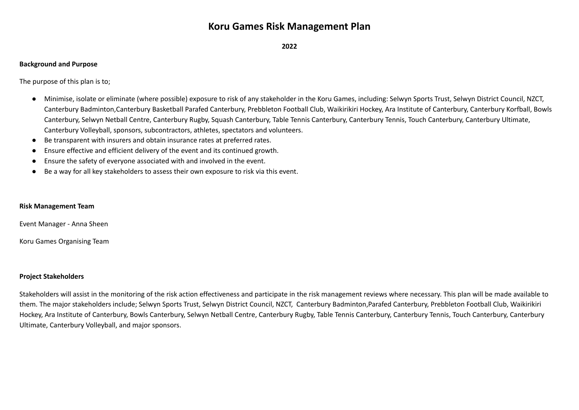# **Koru Games Risk Management Plan**

**2022**

### **Background and Purpose**

The purpose of this plan is to;

- Minimise, isolate or eliminate (where possible) exposure to risk of any stakeholder in the Koru Games, including: Selwyn Sports Trust, Selwyn District Council, NZCT, Canterbury Badminton,Canterbury Basketball Parafed Canterbury, Prebbleton Football Club, Waikirikiri Hockey, Ara Institute of Canterbury, Canterbury Korfball, Bowls Canterbury, Selwyn Netball Centre, Canterbury Rugby, Squash Canterbury, Table Tennis Canterbury, Canterbury Tennis, Touch Canterbury, Canterbury Ultimate, Canterbury Volleyball, sponsors, subcontractors, athletes, spectators and volunteers.
- Be transparent with insurers and obtain insurance rates at preferred rates.
- Ensure effective and efficient delivery of the event and its continued growth.
- Ensure the safety of everyone associated with and involved in the event.
- Be a way for all key stakeholders to assess their own exposure to risk via this event.

#### **Risk Management Team**

Event Manager - Anna Sheen

Koru Games Organising Team

#### **Project Stakeholders**

Stakeholders will assist in the monitoring of the risk action effectiveness and participate in the risk management reviews where necessary. This plan will be made available to them. The major stakeholders include; Selwyn Sports Trust, Selwyn District Council, NZCT, Canterbury Badminton,Parafed Canterbury, Prebbleton Football Club, Waikirikiri Hockey, Ara Institute of Canterbury, Bowls Canterbury, Selwyn Netball Centre, Canterbury Rugby, Table Tennis Canterbury, Canterbury Tennis, Touch Canterbury, Canterbury Ultimate, Canterbury Volleyball, and major sponsors.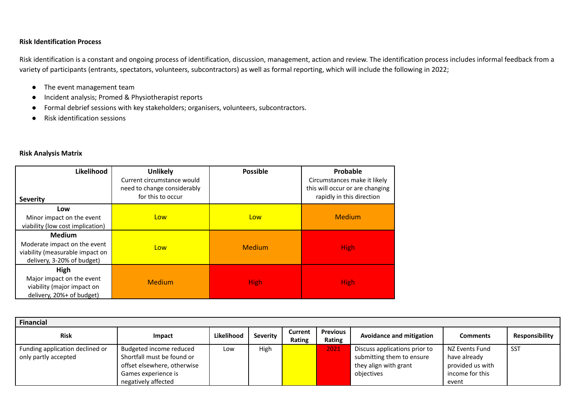## **Risk Identification Process**

Risk identification is a constant and ongoing process of identification, discussion, management, action and review. The identification process includes informal feedback from a variety of participants (entrants, spectators, volunteers, subcontractors) as well as formal reporting, which will include the following in 2022;

- The event management team
- Incident analysis; Promed & Physiotherapist reports
- Formal debrief sessions with key stakeholders; organisers, volunteers, subcontractors.
- Risk identification sessions

#### **Risk Analysis Matrix**

| Likelihood<br><b>Severity</b>                                                                                  | <b>Unlikely</b><br>Current circumstance would<br>need to change considerably<br>for this to occur | <b>Possible</b> | Probable<br>Circumstances make it likely<br>this will occur or are changing<br>rapidly in this direction |
|----------------------------------------------------------------------------------------------------------------|---------------------------------------------------------------------------------------------------|-----------------|----------------------------------------------------------------------------------------------------------|
| Low<br>Minor impact on the event<br>viability (low cost implication)                                           | Low                                                                                               | Low             | <b>Medium</b>                                                                                            |
| <b>Medium</b><br>Moderate impact on the event<br>viability (measurable impact on<br>delivery, 3-20% of budget) | Low                                                                                               | Medium          | <b>High</b>                                                                                              |
| High<br>Major impact on the event<br>viability (major impact on<br>delivery, 20%+ of budget)                   | <b>Medium</b>                                                                                     | <b>High</b>     | <b>High</b>                                                                                              |

| <b>Financial</b>                                        |                                                                                                                                    |            |                 |                          |                           |                                                                                                   |                                                                                |                |
|---------------------------------------------------------|------------------------------------------------------------------------------------------------------------------------------------|------------|-----------------|--------------------------|---------------------------|---------------------------------------------------------------------------------------------------|--------------------------------------------------------------------------------|----------------|
| <b>Risk</b>                                             | <b>Impact</b>                                                                                                                      | Likelihood | <b>Severity</b> | <b>Current</b><br>Rating | <b>Previous</b><br>Rating | <b>Avoidance and mitigation</b>                                                                   | <b>Comments</b>                                                                | Responsibility |
| Funding application declined or<br>only partly accepted | Budgeted income reduced<br>Shortfall must be found or<br>offset elsewhere, otherwise<br>Games experience is<br>negatively affected | Low        | High            |                          | 2021                      | Discuss applications prior to<br>submitting them to ensure<br>they align with grant<br>objectives | NZ Events Fund<br>have already<br>provided us with<br>income for this<br>event | SST            |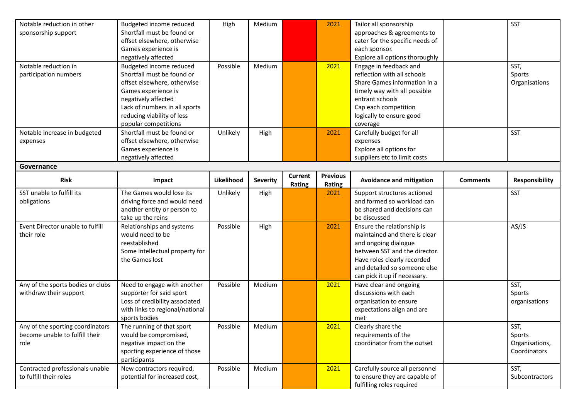| Notable reduction in other                                         | Budgeted income reduced                      | High       | Medium          |         | 2021            | Tailor all sponsorship                             |                 | <b>SST</b>     |
|--------------------------------------------------------------------|----------------------------------------------|------------|-----------------|---------|-----------------|----------------------------------------------------|-----------------|----------------|
| sponsorship support                                                | Shortfall must be found or                   |            |                 |         |                 | approaches & agreements to                         |                 |                |
|                                                                    | offset elsewhere, otherwise                  |            |                 |         |                 | cater for the specific needs of                    |                 |                |
|                                                                    | Games experience is                          |            |                 |         |                 | each sponsor.                                      |                 |                |
|                                                                    | negatively affected                          |            |                 |         |                 | Explore all options thoroughly                     |                 |                |
| Notable reduction in                                               | Budgeted income reduced                      | Possible   | Medium          |         | 2021            | Engage in feedback and                             |                 | SST,           |
| participation numbers                                              | Shortfall must be found or                   |            |                 |         |                 | reflection with all schools                        |                 | Sports         |
|                                                                    | offset elsewhere, otherwise                  |            |                 |         |                 | Share Games information in a                       |                 | Organisations  |
|                                                                    | Games experience is                          |            |                 |         |                 | timely way with all possible                       |                 |                |
|                                                                    | negatively affected                          |            |                 |         |                 | entrant schools                                    |                 |                |
|                                                                    | Lack of numbers in all sports                |            |                 |         |                 | Cap each competition                               |                 |                |
|                                                                    | reducing viability of less                   |            |                 |         |                 | logically to ensure good                           |                 |                |
|                                                                    | popular competitions                         |            |                 |         |                 | coverage                                           |                 |                |
| Notable increase in budgeted                                       | Shortfall must be found or                   | Unlikely   | High            |         | 2021            | Carefully budget for all                           |                 | <b>SST</b>     |
| expenses                                                           | offset elsewhere, otherwise                  |            |                 |         |                 | expenses                                           |                 |                |
|                                                                    | Games experience is                          |            |                 |         |                 | Explore all options for                            |                 |                |
|                                                                    | negatively affected                          |            |                 |         |                 | suppliers etc to limit costs                       |                 |                |
| Governance                                                         |                                              |            |                 |         |                 |                                                    |                 |                |
| <b>Risk</b>                                                        | Impact                                       | Likelihood | <b>Severity</b> | Current | <b>Previous</b> | <b>Avoidance and mitigation</b>                    | <b>Comments</b> | Responsibility |
|                                                                    |                                              |            |                 | Rating  | Rating          |                                                    |                 |                |
| SST unable to fulfill its                                          | The Games would lose its                     | Unlikely   | High            |         | 2021            | Support structures actioned                        |                 | <b>SST</b>     |
| obligations                                                        | driving force and would need                 |            |                 |         |                 | and formed so workload can                         |                 |                |
|                                                                    | another entity or person to                  |            |                 |         |                 | be shared and decisions can                        |                 |                |
|                                                                    | take up the reins                            |            |                 |         |                 | be discussed                                       |                 |                |
| Event Director unable to fulfill                                   | Relationships and systems                    | Possible   | High            |         | 2021            | Ensure the relationship is                         |                 | AS/JS          |
| their role                                                         | would need to be                             |            |                 |         |                 | maintained and there is clear                      |                 |                |
|                                                                    | reestablished                                |            |                 |         |                 | and ongoing dialogue                               |                 |                |
|                                                                    | Some intellectual property for               |            |                 |         |                 | between SST and the director.                      |                 |                |
|                                                                    | the Games lost                               |            |                 |         |                 | Have roles clearly recorded                        |                 |                |
|                                                                    |                                              |            |                 |         |                 | and detailed so someone else                       |                 |                |
|                                                                    |                                              |            |                 |         |                 | can pick it up if necessary.                       |                 |                |
| Any of the sports bodies or clubs                                  | Need to engage with another                  | Possible   | Medium          |         | 2021            | Have clear and ongoing                             |                 | SST,           |
| withdraw their support                                             | supporter for said sport                     |            |                 |         |                 | discussions with each                              |                 | Sports         |
|                                                                    | Loss of credibility associated               |            |                 |         |                 | organisation to ensure                             |                 | organisations  |
|                                                                    | with links to regional/national              |            |                 |         |                 | expectations align and are                         |                 |                |
|                                                                    | sports bodies                                |            |                 |         |                 | met                                                |                 |                |
| Any of the sporting coordinators<br>become unable to fulfill their | The running of that sport                    | Possible   | Medium          |         | 2021            | Clearly share the                                  |                 | SST,           |
|                                                                    | would be compromised,                        |            |                 |         |                 | requirements of the<br>coordinator from the outset |                 | Sports         |
| role                                                               | negative impact on the                       |            |                 |         |                 |                                                    |                 | Organisations, |
|                                                                    | sporting experience of those<br>participants |            |                 |         |                 |                                                    |                 | Coordinators   |
| Contracted professionals unable                                    | New contractors required,                    | Possible   | Medium          |         | 2021            | Carefully source all personnel                     |                 | SST,           |
| to fulfill their roles                                             | potential for increased cost,                |            |                 |         |                 | to ensure they are capable of                      |                 | Subcontractors |
|                                                                    |                                              |            |                 |         |                 | fulfilling roles required                          |                 |                |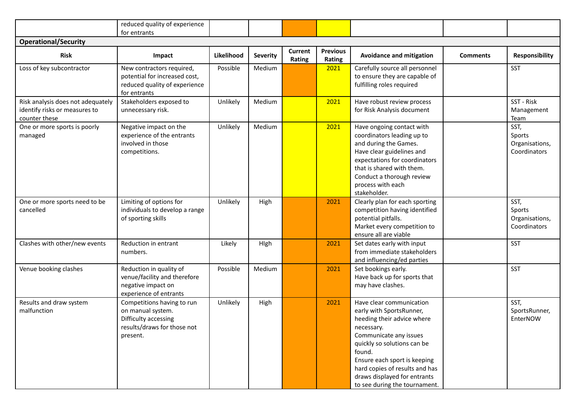|                                                                                     | reduced quality of experience<br>for entrants                                                                      |            |                 |                   |                           |                                                                                                                                                                                                                                                                                                        |                 |                                                  |
|-------------------------------------------------------------------------------------|--------------------------------------------------------------------------------------------------------------------|------------|-----------------|-------------------|---------------------------|--------------------------------------------------------------------------------------------------------------------------------------------------------------------------------------------------------------------------------------------------------------------------------------------------------|-----------------|--------------------------------------------------|
| <b>Operational/Security</b>                                                         |                                                                                                                    |            |                 |                   |                           |                                                                                                                                                                                                                                                                                                        |                 |                                                  |
| <b>Risk</b>                                                                         | Impact                                                                                                             | Likelihood | <b>Severity</b> | Current<br>Rating | <b>Previous</b><br>Rating | <b>Avoidance and mitigation</b>                                                                                                                                                                                                                                                                        | <b>Comments</b> | Responsibility                                   |
| Loss of key subcontractor                                                           | New contractors required,<br>potential for increased cost,<br>reduced quality of experience<br>for entrants        | Possible   | Medium          |                   | 2021                      | Carefully source all personnel<br>to ensure they are capable of<br>fulfilling roles required                                                                                                                                                                                                           |                 | SST                                              |
| Risk analysis does not adequately<br>identify risks or measures to<br>counter these | Stakeholders exposed to<br>unnecessary risk.                                                                       | Unlikely   | Medium          |                   | 2021                      | Have robust review process<br>for Risk Analysis document                                                                                                                                                                                                                                               |                 | SST - Risk<br>Management<br>Team                 |
| One or more sports is poorly<br>managed                                             | Negative impact on the<br>experience of the entrants<br>involved in those<br>competitions.                         | Unlikely   | Medium          |                   | 2021                      | Have ongoing contact with<br>coordinators leading up to<br>and during the Games.<br>Have clear guidelines and<br>expectations for coordinators<br>that is shared with them.<br>Conduct a thorough review<br>process with each<br>stakeholder.                                                          |                 | SST,<br>Sports<br>Organisations,<br>Coordinators |
| One or more sports need to be<br>cancelled                                          | Limiting of options for<br>individuals to develop a range<br>of sporting skills                                    | Unlikely   | High            |                   | 2021                      | Clearly plan for each sporting<br>competition having identified<br>potential pitfalls.<br>Market every competition to<br>ensure all are viable                                                                                                                                                         |                 | SST,<br>Sports<br>Organisations,<br>Coordinators |
| Clashes with other/new events                                                       | Reduction in entrant<br>numbers.                                                                                   | Likely     | High            |                   | 2021                      | Set dates early with input<br>from immediate stakeholders<br>and influencing/ed parties                                                                                                                                                                                                                |                 | SST                                              |
| Venue booking clashes                                                               | Reduction in quality of<br>venue/facility and therefore<br>negative impact on<br>experience of entrants            | Possible   | Medium          |                   | 2021                      | Set bookings early.<br>Have back up for sports that<br>may have clashes.                                                                                                                                                                                                                               |                 | SST                                              |
| Results and draw system<br>malfunction                                              | Competitions having to run<br>on manual system.<br>Difficulty accessing<br>results/draws for those not<br>present. | Unlikely   | High            |                   | 2021                      | Have clear communication<br>early with SportsRunner,<br>heeding their advice where<br>necessary.<br>Communicate any issues<br>quickly so solutions can be<br>found.<br>Ensure each sport is keeping<br>hard copies of results and has<br>draws displayed for entrants<br>to see during the tournament. |                 | SST,<br>SportsRunner,<br>EnterNOW                |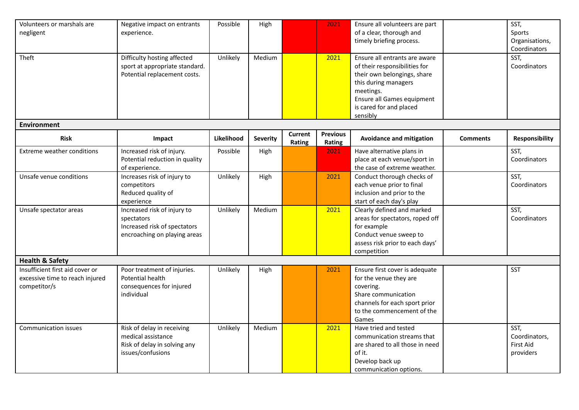| Volunteers or marshals are      | Negative impact on entrants    | Possible   | High     |                | 2021            | Ensure all volunteers are part  |                 | SST,             |  |  |  |  |
|---------------------------------|--------------------------------|------------|----------|----------------|-----------------|---------------------------------|-----------------|------------------|--|--|--|--|
| negligent                       | experience.                    |            |          |                |                 | of a clear, thorough and        |                 | Sports           |  |  |  |  |
|                                 |                                |            |          |                |                 | timely briefing process.        |                 | Organisations,   |  |  |  |  |
|                                 |                                |            |          |                |                 |                                 |                 | Coordinators     |  |  |  |  |
| Theft                           | Difficulty hosting affected    | Unlikely   | Medium   |                | 2021            | Ensure all entrants are aware   |                 | SST,             |  |  |  |  |
|                                 | sport at appropriate standard. |            |          |                |                 | of their responsibilities for   |                 | Coordinators     |  |  |  |  |
|                                 | Potential replacement costs.   |            |          |                |                 | their own belongings, share     |                 |                  |  |  |  |  |
|                                 |                                |            |          |                |                 | this during managers            |                 |                  |  |  |  |  |
|                                 |                                |            |          |                |                 | meetings.                       |                 |                  |  |  |  |  |
|                                 |                                |            |          |                |                 | Ensure all Games equipment      |                 |                  |  |  |  |  |
|                                 |                                |            |          |                |                 | is cared for and placed         |                 |                  |  |  |  |  |
|                                 |                                |            |          |                |                 | sensibly                        |                 |                  |  |  |  |  |
| <b>Environment</b>              |                                |            |          |                |                 |                                 |                 |                  |  |  |  |  |
| <b>Risk</b>                     | Impact                         | Likelihood | Severity | <b>Current</b> | <b>Previous</b> | <b>Avoidance and mitigation</b> | <b>Comments</b> | Responsibility   |  |  |  |  |
|                                 |                                |            |          | Rating         | <b>Rating</b>   |                                 |                 |                  |  |  |  |  |
| Extreme weather conditions      | Increased risk of injury.      | Possible   | High     |                | 2021            | Have alternative plans in       |                 | SST,             |  |  |  |  |
|                                 | Potential reduction in quality |            |          |                |                 | place at each venue/sport in    |                 | Coordinators     |  |  |  |  |
|                                 | of experience.                 |            |          |                |                 | the case of extreme weather.    |                 |                  |  |  |  |  |
| Unsafe venue conditions         | Increases risk of injury to    | Unlikely   | High     |                | 2021            | Conduct thorough checks of      |                 | SST,             |  |  |  |  |
|                                 | competitors                    |            |          |                |                 | each venue prior to final       |                 | Coordinators     |  |  |  |  |
|                                 | Reduced quality of             |            |          |                |                 | inclusion and prior to the      |                 |                  |  |  |  |  |
|                                 | experience                     |            |          |                |                 | start of each day's play        |                 |                  |  |  |  |  |
| Unsafe spectator areas          | Increased risk of injury to    | Unlikely   | Medium   |                | 2021            | Clearly defined and marked      |                 | SST,             |  |  |  |  |
|                                 | spectators                     |            |          |                |                 | areas for spectators, roped off |                 | Coordinators     |  |  |  |  |
|                                 | Increased risk of spectators   |            |          |                |                 | for example                     |                 |                  |  |  |  |  |
|                                 | encroaching on playing areas   |            |          |                |                 | Conduct venue sweep to          |                 |                  |  |  |  |  |
|                                 |                                |            |          |                |                 | assess risk prior to each days' |                 |                  |  |  |  |  |
|                                 |                                |            |          |                |                 | competition                     |                 |                  |  |  |  |  |
| <b>Health &amp; Safety</b>      |                                |            |          |                |                 |                                 |                 |                  |  |  |  |  |
| Insufficient first aid cover or | Poor treatment of injuries.    | Unlikely   | High     |                | 2021            | Ensure first cover is adequate  |                 | <b>SST</b>       |  |  |  |  |
| excessive time to reach injured | Potential health               |            |          |                |                 | for the venue they are          |                 |                  |  |  |  |  |
| competitor/s                    | consequences for injured       |            |          |                |                 | covering.                       |                 |                  |  |  |  |  |
|                                 | individual                     |            |          |                |                 | Share communication             |                 |                  |  |  |  |  |
|                                 |                                |            |          |                |                 | channels for each sport prior   |                 |                  |  |  |  |  |
|                                 |                                |            |          |                |                 | to the commencement of the      |                 |                  |  |  |  |  |
|                                 |                                |            |          |                |                 | Games                           |                 |                  |  |  |  |  |
| <b>Communication issues</b>     | Risk of delay in receiving     | Unlikely   | Medium   |                | 2021            | Have tried and tested           |                 | SST,             |  |  |  |  |
|                                 | medical assistance             |            |          |                |                 | communication streams that      |                 | Coordinators,    |  |  |  |  |
|                                 | Risk of delay in solving any   |            |          |                |                 | are shared to all those in need |                 | <b>First Aid</b> |  |  |  |  |
|                                 | issues/confusions              |            |          |                |                 | of it.                          |                 | providers        |  |  |  |  |
|                                 |                                |            |          |                |                 | Develop back up                 |                 |                  |  |  |  |  |
|                                 |                                |            |          |                |                 | communication options.          |                 |                  |  |  |  |  |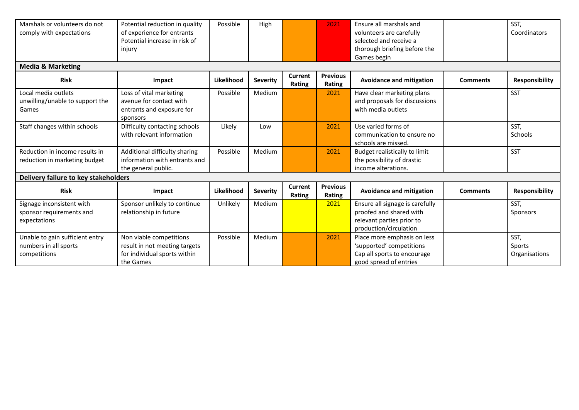| Marshals or volunteers do not<br>comply with expectations                | Potential reduction in quality<br>of experience for entrants<br>Potential increase in risk of<br>injury | Possible   | High            |                   | 2021                      | Ensure all marshals and<br>volunteers are carefully<br>selected and receive a<br>thorough briefing before the     |                 | SST,<br>Coordinators            |  |
|--------------------------------------------------------------------------|---------------------------------------------------------------------------------------------------------|------------|-----------------|-------------------|---------------------------|-------------------------------------------------------------------------------------------------------------------|-----------------|---------------------------------|--|
|                                                                          |                                                                                                         |            |                 |                   |                           | Games begin                                                                                                       |                 |                                 |  |
| <b>Media &amp; Marketing</b>                                             |                                                                                                         |            |                 |                   |                           |                                                                                                                   |                 |                                 |  |
| <b>Risk</b>                                                              | Impact                                                                                                  | Likelihood | <b>Severity</b> | Current<br>Rating | <b>Previous</b><br>Rating | <b>Avoidance and mitigation</b>                                                                                   | <b>Comments</b> | Responsibility                  |  |
| Local media outlets<br>unwilling/unable to support the<br>Games          | Loss of vital marketing<br>avenue for contact with<br>entrants and exposure for<br>sponsors             | Possible   | Medium          |                   | 2021                      | Have clear marketing plans<br>and proposals for discussions<br>with media outlets                                 |                 | <b>SST</b>                      |  |
| Staff changes within schools                                             | Difficulty contacting schools<br>with relevant information                                              | Likely     | Low             |                   | 2021                      | Use varied forms of<br>communication to ensure no<br>schools are missed.                                          |                 | SST,<br>Schools                 |  |
| Reduction in income results in<br>reduction in marketing budget          | Additional difficulty sharing<br>information with entrants and<br>the general public.                   | Possible   | Medium          |                   | 2021                      | Budget realistically to limit<br>the possibility of drastic<br>income alterations.                                |                 | SST                             |  |
| Delivery failure to key stakeholders                                     |                                                                                                         |            |                 |                   |                           |                                                                                                                   |                 |                                 |  |
| <b>Risk</b>                                                              | Impact                                                                                                  | Likelihood | <b>Severity</b> | Current<br>Rating | <b>Previous</b><br>Rating | <b>Avoidance and mitigation</b>                                                                                   | <b>Comments</b> | Responsibility                  |  |
| Signage inconsistent with<br>sponsor requirements and<br>expectations    | Sponsor unlikely to continue<br>relationship in future                                                  | Unlikely   | Medium          |                   | 2021                      | Ensure all signage is carefully<br>proofed and shared with<br>relevant parties prior to<br>production/circulation |                 | SST,<br>Sponsors                |  |
| Unable to gain sufficient entry<br>numbers in all sports<br>competitions | Non viable competitions<br>result in not meeting targets<br>for individual sports within<br>the Games   | Possible   | Medium          |                   | 2021                      | Place more emphasis on less<br>'supported' competitions<br>Cap all sports to encourage<br>good spread of entries  |                 | SST,<br>Sports<br>Organisations |  |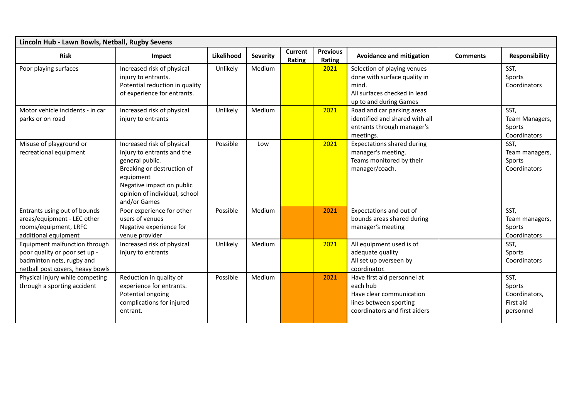| Lincoln Hub - Lawn Bowls, Netball, Rugby Sevens                                                                                 |                                                                                                                                                                                                      |            |                 |                   |                           |                                                                                                                                |                 |                                                           |  |  |
|---------------------------------------------------------------------------------------------------------------------------------|------------------------------------------------------------------------------------------------------------------------------------------------------------------------------------------------------|------------|-----------------|-------------------|---------------------------|--------------------------------------------------------------------------------------------------------------------------------|-----------------|-----------------------------------------------------------|--|--|
| <b>Risk</b>                                                                                                                     | Impact                                                                                                                                                                                               | Likelihood | <b>Severity</b> | Current<br>Rating | <b>Previous</b><br>Rating | <b>Avoidance and mitigation</b>                                                                                                | <b>Comments</b> | <b>Responsibility</b>                                     |  |  |
| Poor playing surfaces                                                                                                           | Increased risk of physical<br>injury to entrants.<br>Potential reduction in quality<br>of experience for entrants.                                                                                   | Unlikely   | Medium          |                   | 2021                      | Selection of playing venues<br>done with surface quality in<br>mind.<br>All surfaces checked in lead<br>up to and during Games |                 | SST,<br>Sports<br>Coordinators                            |  |  |
| Motor vehicle incidents - in car<br>parks or on road                                                                            | Increased risk of physical<br>injury to entrants                                                                                                                                                     | Unlikely   | Medium          |                   | 2021                      | Road and car parking areas<br>identified and shared with all<br>entrants through manager's<br>meetings.                        |                 | SST,<br>Team Managers,<br>Sports<br>Coordinators          |  |  |
| Misuse of playground or<br>recreational equipment                                                                               | Increased risk of physical<br>injury to entrants and the<br>general public.<br>Breaking or destruction of<br>equipment<br>Negative impact on public<br>opinion of individual, school<br>and/or Games | Possible   | Low             |                   | 2021                      | <b>Expectations shared during</b><br>manager's meeting.<br>Teams monitored by their<br>manager/coach.                          |                 | SST,<br>Team managers,<br>Sports<br>Coordinators          |  |  |
| Entrants using out of bounds<br>areas/equipment - LEC other<br>rooms/equipment, LRFC<br>additional equipment                    | Poor experience for other<br>users of venues<br>Negative experience for<br>venue provider                                                                                                            | Possible   | Medium          |                   | 2021                      | Expectations and out of<br>bounds areas shared during<br>manager's meeting                                                     |                 | SST,<br>Team managers,<br>Sports<br>Coordinators          |  |  |
| Equipment malfunction through<br>poor quality or poor set up -<br>badminton nets, rugby and<br>netball post covers, heavy bowls | Increased risk of physical<br>injury to entrants                                                                                                                                                     | Unlikely   | Medium          |                   | 2021                      | All equipment used is of<br>adequate quality<br>All set up overseen by<br>coordinator.                                         |                 | SST,<br>Sports<br>Coordinators                            |  |  |
| Physical injury while competing<br>through a sporting accident                                                                  | Reduction in quality of<br>experience for entrants.<br>Potential ongoing<br>complications for injured<br>entrant.                                                                                    | Possible   | Medium          |                   | 2021                      | Have first aid personnel at<br>each hub<br>Have clear communication<br>lines between sporting<br>coordinators and first aiders |                 | SST,<br>Sports<br>Coordinators,<br>First aid<br>personnel |  |  |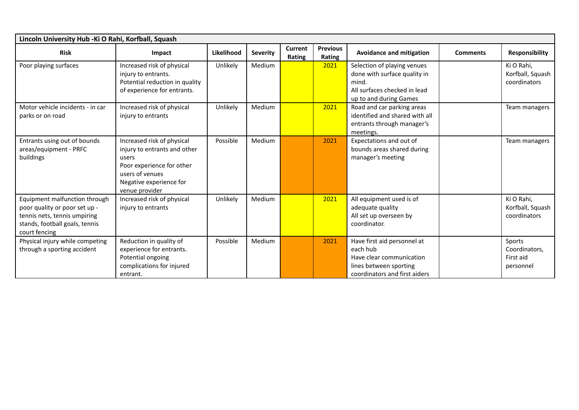| Lincoln University Hub - Ki O Rahi, Korfball, Squash                                                                                              |                                                                                                                                                                  |            |                 |                   |                           |                                                                                                                                |                 |                                                   |  |  |
|---------------------------------------------------------------------------------------------------------------------------------------------------|------------------------------------------------------------------------------------------------------------------------------------------------------------------|------------|-----------------|-------------------|---------------------------|--------------------------------------------------------------------------------------------------------------------------------|-----------------|---------------------------------------------------|--|--|
| <b>Risk</b>                                                                                                                                       | Impact                                                                                                                                                           | Likelihood | <b>Severity</b> | Current<br>Rating | <b>Previous</b><br>Rating | <b>Avoidance and mitigation</b>                                                                                                | <b>Comments</b> | <b>Responsibility</b>                             |  |  |
| Poor playing surfaces                                                                                                                             | Increased risk of physical<br>injury to entrants.<br>Potential reduction in quality<br>of experience for entrants.                                               | Unlikely   | Medium          |                   | 2021                      | Selection of playing venues<br>done with surface quality in<br>mind.<br>All surfaces checked in lead<br>up to and during Games |                 | Ki O Rahi,<br>Korfball, Squash<br>coordinators    |  |  |
| Motor vehicle incidents - in car<br>parks or on road                                                                                              | Increased risk of physical<br>injury to entrants                                                                                                                 | Unlikely   | Medium          |                   | 2021                      | Road and car parking areas<br>identified and shared with all<br>entrants through manager's<br>meetings.                        |                 | Team managers                                     |  |  |
| Entrants using out of bounds<br>areas/equipment - PRFC<br>buildings                                                                               | Increased risk of physical<br>injury to entrants and other<br>users<br>Poor experience for other<br>users of venues<br>Negative experience for<br>venue provider | Possible   | Medium          |                   | 2021                      | Expectations and out of<br>bounds areas shared during<br>manager's meeting                                                     |                 | Team managers                                     |  |  |
| Equipment malfunction through<br>poor quality or poor set up -<br>tennis nets, tennis umpiring<br>stands, football goals, tennis<br>court fencing | Increased risk of physical<br>injury to entrants                                                                                                                 | Unlikely   | Medium          |                   | 2021                      | All equipment used is of<br>adequate quality<br>All set up overseen by<br>coordinator.                                         |                 | Ki O Rahi,<br>Korfball, Squash<br>coordinators    |  |  |
| Physical injury while competing<br>through a sporting accident                                                                                    | Reduction in quality of<br>experience for entrants.<br>Potential ongoing<br>complications for injured<br>entrant.                                                | Possible   | Medium          |                   | 2021                      | Have first aid personnel at<br>each hub<br>Have clear communication<br>lines between sporting<br>coordinators and first aiders |                 | Sports<br>Coordinators,<br>First aid<br>personnel |  |  |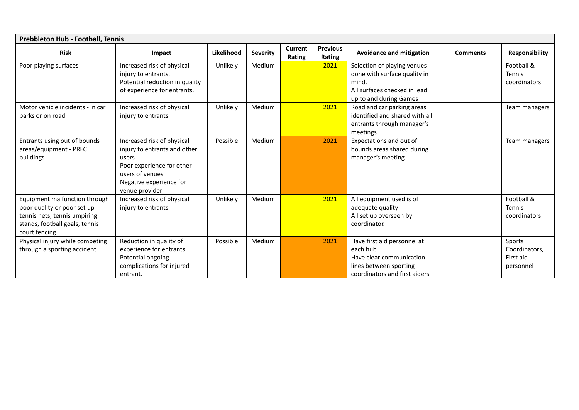| Prebbleton Hub - Football, Tennis                                                                                                                 |                                                                                                                                                                  |            |                 |                   |                           |                                                                                                                                |                 |                                                   |  |  |
|---------------------------------------------------------------------------------------------------------------------------------------------------|------------------------------------------------------------------------------------------------------------------------------------------------------------------|------------|-----------------|-------------------|---------------------------|--------------------------------------------------------------------------------------------------------------------------------|-----------------|---------------------------------------------------|--|--|
| <b>Risk</b>                                                                                                                                       | Impact                                                                                                                                                           | Likelihood | <b>Severity</b> | Current<br>Rating | <b>Previous</b><br>Rating | <b>Avoidance and mitigation</b>                                                                                                | <b>Comments</b> | <b>Responsibility</b>                             |  |  |
| Poor playing surfaces                                                                                                                             | Increased risk of physical<br>injury to entrants.<br>Potential reduction in quality<br>of experience for entrants.                                               | Unlikely   | Medium          |                   | 2021                      | Selection of playing venues<br>done with surface quality in<br>mind.<br>All surfaces checked in lead<br>up to and during Games |                 | Football &<br>Tennis<br>coordinators              |  |  |
| Motor vehicle incidents - in car<br>parks or on road                                                                                              | Increased risk of physical<br>injury to entrants                                                                                                                 | Unlikely   | Medium          |                   | 2021                      | Road and car parking areas<br>identified and shared with all<br>entrants through manager's<br>meetings.                        |                 | Team managers                                     |  |  |
| Entrants using out of bounds<br>areas/equipment - PRFC<br>buildings                                                                               | Increased risk of physical<br>injury to entrants and other<br>users<br>Poor experience for other<br>users of venues<br>Negative experience for<br>venue provider | Possible   | Medium          |                   | 2021                      | Expectations and out of<br>bounds areas shared during<br>manager's meeting                                                     |                 | Team managers                                     |  |  |
| Equipment malfunction through<br>poor quality or poor set up -<br>tennis nets, tennis umpiring<br>stands, football goals, tennis<br>court fencing | Increased risk of physical<br>injury to entrants                                                                                                                 | Unlikely   | Medium          |                   | 2021                      | All equipment used is of<br>adequate quality<br>All set up overseen by<br>coordinator.                                         |                 | Football &<br>Tennis<br>coordinators              |  |  |
| Physical injury while competing<br>through a sporting accident                                                                                    | Reduction in quality of<br>experience for entrants.<br>Potential ongoing<br>complications for injured<br>entrant.                                                | Possible   | Medium          |                   | 2021                      | Have first aid personnel at<br>each hub<br>Have clear communication<br>lines between sporting<br>coordinators and first aiders |                 | Sports<br>Coordinators,<br>First aid<br>personnel |  |  |